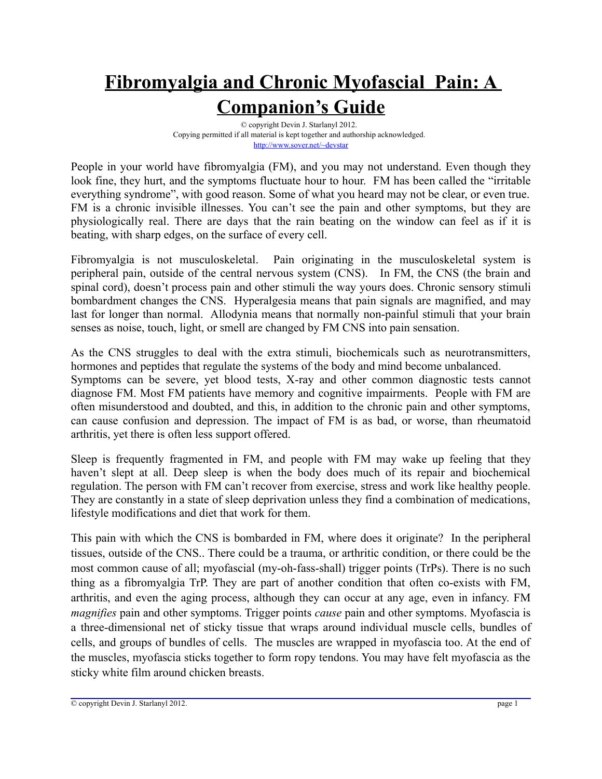## **Fibromyalgia and Chronic Myofascial Pain: A Companion's Guide**

© copyright Devin J. Starlanyl 2012. Copying permitted if all material is kept together and authorship acknowledged. <http://www.sover.net/~devstar>

People in your world have fibromyalgia (FM), and you may not understand. Even though they look fine, they hurt, and the symptoms fluctuate hour to hour. FM has been called the "irritable everything syndrome", with good reason. Some of what you heard may not be clear, or even true. FM is a chronic invisible illnesses. You can't see the pain and other symptoms, but they are physiologically real. There are days that the rain beating on the window can feel as if it is beating, with sharp edges, on the surface of every cell.

Fibromyalgia is not musculoskeletal. Pain originating in the musculoskeletal system is peripheral pain, outside of the central nervous system (CNS). In FM, the CNS (the brain and spinal cord), doesn't process pain and other stimuli the way yours does. Chronic sensory stimuli bombardment changes the CNS. Hyperalgesia means that pain signals are magnified, and may last for longer than normal. Allodynia means that normally non-painful stimuli that your brain senses as noise, touch, light, or smell are changed by FM CNS into pain sensation.

As the CNS struggles to deal with the extra stimuli, biochemicals such as neurotransmitters, hormones and peptides that regulate the systems of the body and mind become unbalanced.

Symptoms can be severe, yet blood tests, X-ray and other common diagnostic tests cannot diagnose FM. Most FM patients have memory and cognitive impairments. People with FM are often misunderstood and doubted, and this, in addition to the chronic pain and other symptoms, can cause confusion and depression. The impact of FM is as bad, or worse, than rheumatoid arthritis, yet there is often less support offered.

Sleep is frequently fragmented in FM, and people with FM may wake up feeling that they haven't slept at all. Deep sleep is when the body does much of its repair and biochemical regulation. The person with FM can't recover from exercise, stress and work like healthy people. They are constantly in a state of sleep deprivation unless they find a combination of medications, lifestyle modifications and diet that work for them.

This pain with which the CNS is bombarded in FM, where does it originate? In the peripheral tissues, outside of the CNS.. There could be a trauma, or arthritic condition, or there could be the most common cause of all; myofascial (my-oh-fass-shall) trigger points (TrPs). There is no such thing as a fibromyalgia TrP. They are part of another condition that often co-exists with FM, arthritis, and even the aging process, although they can occur at any age, even in infancy. FM *magnifies* pain and other symptoms. Trigger points *cause* pain and other symptoms. Myofascia is a three-dimensional net of sticky tissue that wraps around individual muscle cells, bundles of cells, and groups of bundles of cells. The muscles are wrapped in myofascia too. At the end of the muscles, myofascia sticks together to form ropy tendons. You may have felt myofascia as the sticky white film around chicken breasts.